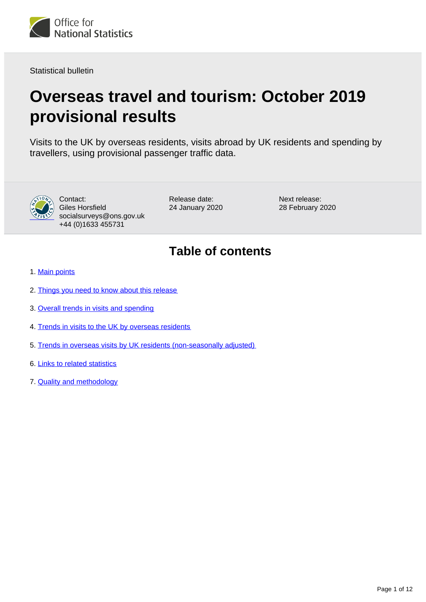

Statistical bulletin

# **Overseas travel and tourism: October 2019 provisional results**

Visits to the UK by overseas residents, visits abroad by UK residents and spending by travellers, using provisional passenger traffic data.



Contact: Giles Horsfield socialsurveys@ons.gov.uk +44 (0)1633 455731

Release date: 24 January 2020 Next release: 28 February 2020

## **Table of contents**

- 1. [Main points](#page-1-0)
- 2. [Things you need to know about this release](#page-1-1)
- 3. [Overall trends in visits and spending](#page-2-0)
- 4. [Trends in visits to the UK by overseas residents](#page-4-0)
- 5. [Trends in overseas visits by UK residents \(non-seasonally adjusted\)](#page-6-0)
- 6. [Links to related statistics](#page-8-0)
- 7. [Quality and methodology](#page-8-1)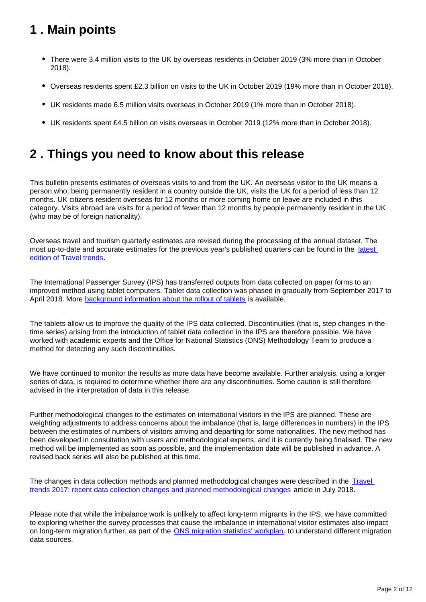## <span id="page-1-0"></span>**1 . Main points**

- There were 3.4 million visits to the UK by overseas residents in October 2019 (3% more than in October 2018).
- Overseas residents spent £2.3 billion on visits to the UK in October 2019 (19% more than in October 2018).
- UK residents made 6.5 million visits overseas in October 2019 (1% more than in October 2018).
- UK residents spent £4.5 billion on visits overseas in October 2019 (12% more than in October 2018).

## <span id="page-1-1"></span>**2 . Things you need to know about this release**

This bulletin presents estimates of overseas visits to and from the UK. An overseas visitor to the UK means a person who, being permanently resident in a country outside the UK, visits the UK for a period of less than 12 months. UK citizens resident overseas for 12 months or more coming home on leave are included in this category. Visits abroad are visits for a period of fewer than 12 months by people permanently resident in the UK (who may be of foreign nationality).

Overseas travel and tourism quarterly estimates are revised during the processing of the annual dataset. The most up-to-date and accurate estimates for the previous year's published quarters can be found in the [latest](https://www.ons.gov.uk/peoplepopulationandcommunity/leisureandtourism/articles/traveltrends/latest)  [edition of Travel trends.](https://www.ons.gov.uk/peoplepopulationandcommunity/leisureandtourism/articles/traveltrends/latest)

The International Passenger Survey (IPS) has transferred outputs from data collected on paper forms to an improved method using tablet computers. Tablet data collection was phased in gradually from September 2017 to April 2018. More [background information about the rollout of tablets](https://www.ons.gov.uk/peoplepopulationandcommunity/leisureandtourism/articles/traveltrends2017recentdatacollectionchangesandplannedmethodologicalchanges/2018-07-20) is available.

The tablets allow us to improve the quality of the IPS data collected. Discontinuities (that is, step changes in the time series) arising from the introduction of tablet data collection in the IPS are therefore possible. We have worked with academic experts and the Office for National Statistics (ONS) Methodology Team to produce a method for detecting any such discontinuities.

We have continued to monitor the results as more data have become available. Further analysis, using a longer series of data, is required to determine whether there are any discontinuities. Some caution is still therefore advised in the interpretation of data in this release.

Further methodological changes to the estimates on international visitors in the IPS are planned. These are weighting adjustments to address concerns about the imbalance (that is, large differences in numbers) in the IPS between the estimates of numbers of visitors arriving and departing for some nationalities. The new method has been developed in consultation with users and methodological experts, and it is currently being finalised. The new method will be implemented as soon as possible, and the implementation date will be published in advance. A revised back series will also be published at this time.

The changes in data collection methods and planned methodological changes were described in the Travel [trends 2017: recent data collection changes and planned methodological changes](https://www.ons.gov.uk/peoplepopulationandcommunity/leisureandtourism/articles/traveltrends2017recentdatacollectionchangesandplannedmethodologicalchanges/2018-07-20) article in July 2018.

Please note that while the imbalance work is unlikely to affect long-term migrants in the IPS, we have committed to exploring whether the survey processes that cause the imbalance in international visitor estimates also impact on long-term migration further, as part of the **ONS** migration statistics' workplan, to understand different migration data sources.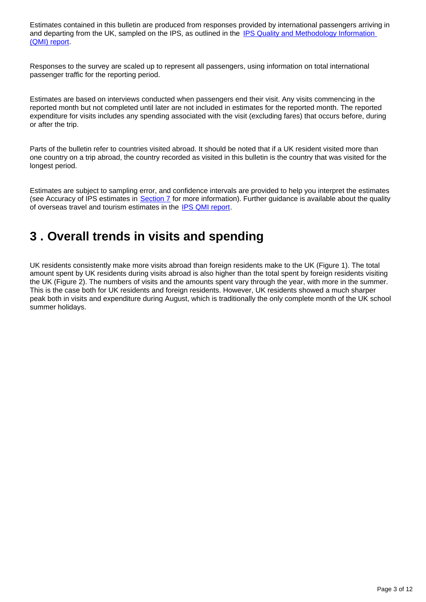Estimates contained in this bulletin are produced from responses provided by international passengers arriving in and departing from the UK, sampled on the IPS, as outlined in the IPS Quality and Methodology Information [\(QMI\) report.](https://www.ons.gov.uk/peoplepopulationandcommunity/leisureandtourism/methodologies/internationalpassengersurveyqmi)

Responses to the survey are scaled up to represent all passengers, using information on total international passenger traffic for the reporting period.

Estimates are based on interviews conducted when passengers end their visit. Any visits commencing in the reported month but not completed until later are not included in estimates for the reported month. The reported expenditure for visits includes any spending associated with the visit (excluding fares) that occurs before, during or after the trip.

Parts of the bulletin refer to countries visited abroad. It should be noted that if a UK resident visited more than one country on a trip abroad, the country recorded as visited in this bulletin is the country that was visited for the longest period.

Estimates are subject to sampling error, and confidence intervals are provided to help you interpret the estimates (see Accuracy of IPS estimates in [Section 7](https://www.ons.gov.uk/peoplepopulationandcommunity/leisureandtourism/bulletins/overseastravelandtourism/october2019provisionalresults#quality-and-methodology) for more information). Further guidance is available about the quality of overseas travel and tourism estimates in the [IPS QMI report.](https://www.ons.gov.uk/peoplepopulationandcommunity/leisureandtourism/methodologies/internationalpassengersurveyqmi)

### <span id="page-2-0"></span>**3 . Overall trends in visits and spending**

UK residents consistently make more visits abroad than foreign residents make to the UK (Figure 1). The total amount spent by UK residents during visits abroad is also higher than the total spent by foreign residents visiting the UK (Figure 2). The numbers of visits and the amounts spent vary through the year, with more in the summer. This is the case both for UK residents and foreign residents. However, UK residents showed a much sharper peak both in visits and expenditure during August, which is traditionally the only complete month of the UK school summer holidays.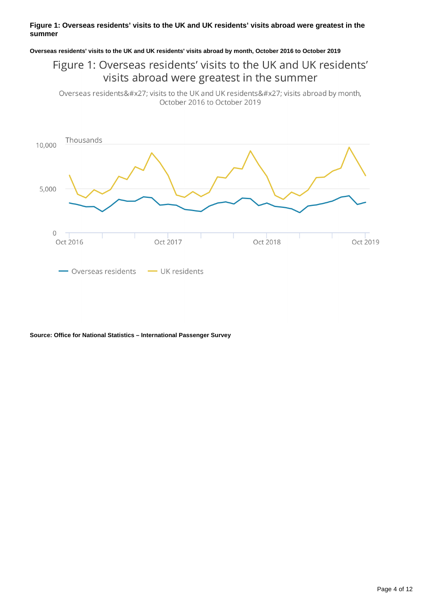#### **Figure 1: Overseas residents' visits to the UK and UK residents' visits abroad were greatest in the summer**

#### **Overseas residents' visits to the UK and UK residents' visits abroad by month, October 2016 to October 2019**

### Figure 1: Overseas residents' visits to the UK and UK residents' visits abroad were greatest in the summer

Overseas residents' visits to the UK and UK residents' visits abroad by month, October 2016 to October 2019



**Source: Office for National Statistics – International Passenger Survey**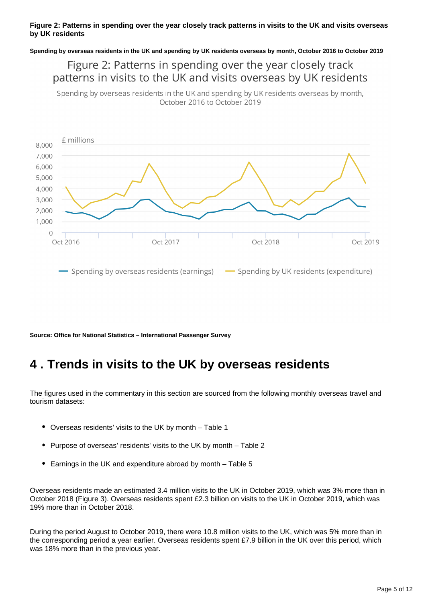#### **Figure 2: Patterns in spending over the year closely track patterns in visits to the UK and visits overseas by UK residents**

**Spending by overseas residents in the UK and spending by UK residents overseas by month, October 2016 to October 2019**

Figure 2: Patterns in spending over the year closely track patterns in visits to the UK and visits overseas by UK residents

Spending by overseas residents in the UK and spending by UK residents overseas by month, October 2016 to October 2019



**Source: Office for National Statistics – International Passenger Survey**

### <span id="page-4-0"></span>**4 . Trends in visits to the UK by overseas residents**

The figures used in the commentary in this section are sourced from the following monthly overseas travel and tourism datasets:

- Overseas residents' visits to the UK by month Table 1
- Purpose of overseas' residents' visits to the UK by month Table 2
- Earnings in the UK and expenditure abroad by month Table 5

Overseas residents made an estimated 3.4 million visits to the UK in October 2019, which was 3% more than in October 2018 (Figure 3). Overseas residents spent £2.3 billion on visits to the UK in October 2019, which was 19% more than in October 2018.

During the period August to October 2019, there were 10.8 million visits to the UK, which was 5% more than in the corresponding period a year earlier. Overseas residents spent £7.9 billion in the UK over this period, which was 18% more than in the previous year.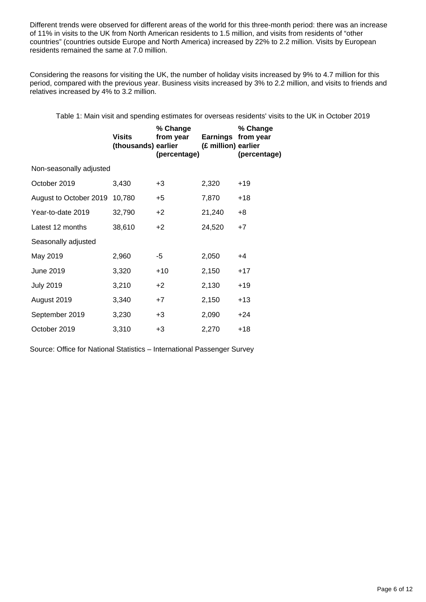Different trends were observed for different areas of the world for this three-month period: there was an increase of 11% in visits to the UK from North American residents to 1.5 million, and visits from residents of "other countries" (countries outside Europe and North America) increased by 22% to 2.2 million. Visits by European residents remained the same at 7.0 million.

Considering the reasons for visiting the UK, the number of holiday visits increased by 9% to 4.7 million for this period, compared with the previous year. Business visits increased by 3% to 2.2 million, and visits to friends and relatives increased by 4% to 3.2 million.

Table 1: Main visit and spending estimates for overseas residents' visits to the UK in October 2019

| Visits                  | % Change<br>from year | (£ million) earlier | % Change<br>Earnings from year<br>(percentage) |  |  |  |
|-------------------------|-----------------------|---------------------|------------------------------------------------|--|--|--|
| Non-seasonally adjusted |                       |                     |                                                |  |  |  |
| 3,430                   | +3                    | 2,320               | $+19$                                          |  |  |  |
| 10,780                  | $+5$                  | 7,870               | $+18$                                          |  |  |  |
| 32,790                  | $+2$                  | 21,240              | +8                                             |  |  |  |
| 38,610                  | $+2$                  | 24,520              | $+7$                                           |  |  |  |
|                         |                       |                     |                                                |  |  |  |
| 2,960                   | -5                    | 2,050               | +4                                             |  |  |  |
| 3,320                   | $+10$                 | 2,150               | $+17$                                          |  |  |  |
| 3,210                   | $+2$                  | 2,130               | $+19$                                          |  |  |  |
| 3,340                   | $+7$                  | 2,150               | $+13$                                          |  |  |  |
| 3,230                   | +3                    | 2,090               | $+24$                                          |  |  |  |
| 3,310                   | +3                    | 2,270               | $+18$                                          |  |  |  |
|                         |                       | (thousands) earlier | (percentage)                                   |  |  |  |

Source: Office for National Statistics – International Passenger Survey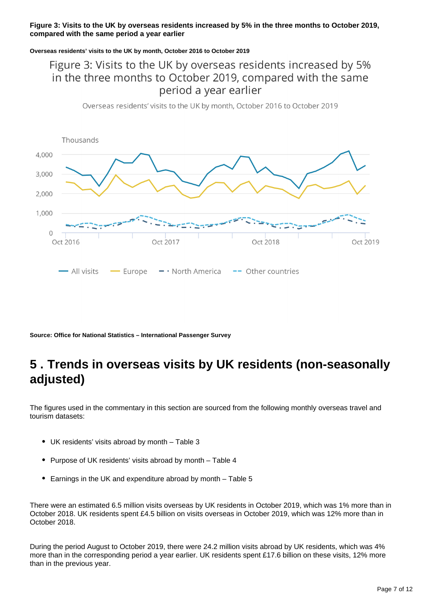#### **Figure 3: Visits to the UK by overseas residents increased by 5% in the three months to October 2019, compared with the same period a year earlier**

#### **Overseas residents' visits to the UK by month, October 2016 to October 2019**

### Figure 3: Visits to the UK by overseas residents increased by 5% in the three months to October 2019, compared with the same period a year earlier

Overseas residents' visits to the UK by month, October 2016 to October 2019



**Source: Office for National Statistics – International Passenger Survey**

## <span id="page-6-0"></span>**5 . Trends in overseas visits by UK residents (non-seasonally adjusted)**

The figures used in the commentary in this section are sourced from the following monthly overseas travel and tourism datasets:

- UK residents' visits abroad by month Table 3
- Purpose of UK residents' visits abroad by month Table 4
- Earnings in the UK and expenditure abroad by month Table 5

There were an estimated 6.5 million visits overseas by UK residents in October 2019, which was 1% more than in October 2018. UK residents spent £4.5 billion on visits overseas in October 2019, which was 12% more than in October 2018.

During the period August to October 2019, there were 24.2 million visits abroad by UK residents, which was 4% more than in the corresponding period a year earlier. UK residents spent £17.6 billion on these visits, 12% more than in the previous year.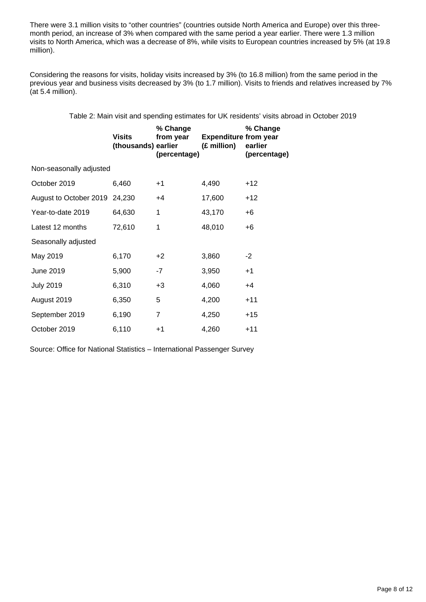There were 3.1 million visits to "other countries" (countries outside North America and Europe) over this threemonth period, an increase of 3% when compared with the same period a year earlier. There were 1.3 million visits to North America, which was a decrease of 8%, while visits to European countries increased by 5% (at 19.8 million).

Considering the reasons for visits, holiday visits increased by 3% (to 16.8 million) from the same period in the previous year and business visits decreased by 3% (to 1.7 million). Visits to friends and relatives increased by 7% (at 5.4 million).

Table 2: Main visit and spending estimates for UK residents' visits abroad in October 2019

|                               | <b>Visits</b><br>(thousands) earlier | % Change<br>from year<br>(percentage) | <b>Expenditure from year</b><br>(£ million) | % Change<br>earlier<br>(percentage) |  |
|-------------------------------|--------------------------------------|---------------------------------------|---------------------------------------------|-------------------------------------|--|
| Non-seasonally adjusted       |                                      |                                       |                                             |                                     |  |
| October 2019                  | 6,460                                | $+1$                                  | 4,490                                       | $+12$                               |  |
| August to October 2019 24,230 |                                      | $+4$                                  | 17,600                                      | $+12$                               |  |
| Year-to-date 2019             | 64,630                               | 1                                     | 43,170                                      | +6                                  |  |
| Latest 12 months              | 72,610                               | 1                                     | 48,010                                      | +6                                  |  |
| Seasonally adjusted           |                                      |                                       |                                             |                                     |  |
| May 2019                      | 6,170                                | $+2$                                  | 3,860                                       | -2                                  |  |
| June 2019                     | 5,900                                | $-7$                                  | 3,950                                       | $+1$                                |  |
| <b>July 2019</b>              | 6,310                                | $+3$                                  | 4,060                                       | $+4$                                |  |
| August 2019                   | 6,350                                | 5                                     | 4,200                                       | $+11$                               |  |
| September 2019                | 6,190                                | $\overline{7}$                        | 4,250                                       | $+15$                               |  |
| October 2019                  | 6,110                                | $+1$                                  | 4,260                                       | $+11$                               |  |

Source: Office for National Statistics – International Passenger Survey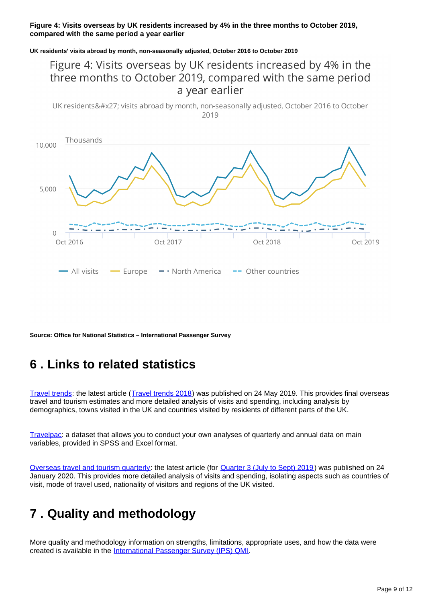#### **Figure 4: Visits overseas by UK residents increased by 4% in the three months to October 2019, compared with the same period a year earlier**

**UK residents' visits abroad by month, non-seasonally adjusted, October 2016 to October 2019**

### Figure 4: Visits overseas by UK residents increased by 4% in the three months to October 2019, compared with the same period a year earlier

UK residents' visits abroad by month, non-seasonally adjusted, October 2016 to October 2019



**Source: Office for National Statistics – International Passenger Survey**

### <span id="page-8-0"></span>**6 . Links to related statistics**

[Travel trends:](https://www.ons.gov.uk/peoplepopulationandcommunity/leisureandtourism/articles/traveltrends/previousReleases) the latest article ([Travel trends 2018](https://www.ons.gov.uk/peoplepopulationandcommunity/leisureandtourism/articles/traveltrends/2018)) was published on 24 May 2019. This provides final overseas travel and tourism estimates and more detailed analysis of visits and spending, including analysis by demographics, towns visited in the UK and countries visited by residents of different parts of the UK.

[Travelpac](http://www.ons.gov.uk/peoplepopulationandcommunity/leisureandtourism/datasets/travelpac): a dataset that allows you to conduct your own analyses of quarterly and annual data on main variables, provided in SPSS and Excel format.

[Overseas travel and tourism quarterly](http://www.ons.gov.uk/peoplepopulationandcommunity/leisureandtourism/articles/overseastravelandtourismprovisionalresults/previousReleases): the latest article (for [Quarter 3 \(July to Sept\) 2019](https://www.ons.gov.uk/peoplepopulationandcommunity/leisureandtourism/articles/overseastravelandtourismprovisionalresults/julytoseptember2019)) was published on 24 January 2020. This provides more detailed analysis of visits and spending, isolating aspects such as countries of visit, mode of travel used, nationality of visitors and regions of the UK visited.

## <span id="page-8-1"></span>**7 . Quality and methodology**

More quality and methodology information on strengths, limitations, appropriate uses, and how the data were created is available in the [International Passenger Survey \(IPS\) QMI.](https://www.ons.gov.uk/peoplepopulationandcommunity/leisureandtourism/qmis/internationalpassengersurveyipsqmi)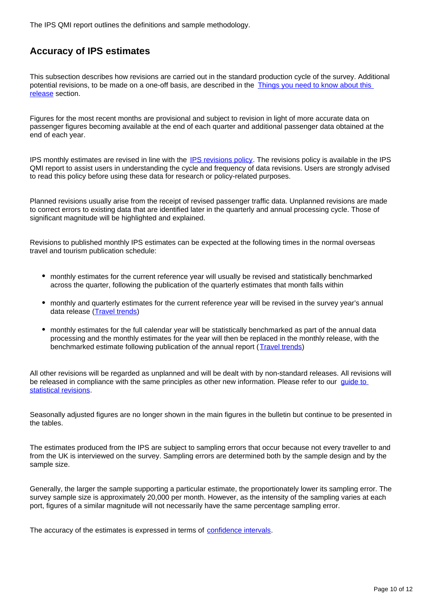The IPS QMI report outlines the definitions and sample methodology.

### **Accuracy of IPS estimates**

This subsection describes how revisions are carried out in the standard production cycle of the survey. Additional potential revisions, to be made on a one-off basis, are described in the [Things you need to know about this](https://www.ons.gov.uk/peoplepopulationandcommunity/leisureandtourism/bulletins/overseastravelandtourism/october2019provisionalresults#things-you-need-to-know-about-this-release)  [release](https://www.ons.gov.uk/peoplepopulationandcommunity/leisureandtourism/bulletins/overseastravelandtourism/october2019provisionalresults#things-you-need-to-know-about-this-release) section.

Figures for the most recent months are provisional and subject to revision in light of more accurate data on passenger figures becoming available at the end of each quarter and additional passenger data obtained at the end of each year.

IPS monthly estimates are revised in line with the [IPS revisions policy.](https://www.ons.gov.uk/peoplepopulationandcommunity/leisureandtourism/methodologies/internationalpassengersurveyqmi#other-information) The revisions policy is available in the IPS QMI report to assist users in understanding the cycle and frequency of data revisions. Users are strongly advised to read this policy before using these data for research or policy-related purposes.

Planned revisions usually arise from the receipt of revised passenger traffic data. Unplanned revisions are made to correct errors to existing data that are identified later in the quarterly and annual processing cycle. Those of significant magnitude will be highlighted and explained.

Revisions to published monthly IPS estimates can be expected at the following times in the normal overseas travel and tourism publication schedule:

- monthly estimates for the current reference year will usually be revised and statistically benchmarked across the quarter, following the publication of the quarterly estimates that month falls within
- monthly and quarterly estimates for the current reference year will be revised in the survey year's annual data release [\(Travel trends\)](https://www.ons.gov.uk/peoplepopulationandcommunity/leisureandtourism/articles/traveltrends/previousReleases)
- monthly estimates for the full calendar year will be statistically benchmarked as part of the annual data processing and the monthly estimates for the year will then be replaced in the monthly release, with the benchmarked estimate following publication of the annual report ([Travel trends](https://www.ons.gov.uk/peoplepopulationandcommunity/leisureandtourism/articles/traveltrends/previousReleases))

All other revisions will be regarded as unplanned and will be dealt with by non-standard releases. All revisions will be released in compliance with the same principles as other new information. Please refer to our quide to [statistical revisions](https://www.ons.gov.uk/methodology/methodologytopicsandstatisticalconcepts/revisions/guidetostatisticalrevisions).

Seasonally adjusted figures are no longer shown in the main figures in the bulletin but continue to be presented in the tables.

The estimates produced from the IPS are subject to sampling errors that occur because not every traveller to and from the UK is interviewed on the survey. Sampling errors are determined both by the sample design and by the sample size.

Generally, the larger the sample supporting a particular estimate, the proportionately lower its sampling error. The survey sample size is approximately 20,000 per month. However, as the intensity of the sampling varies at each port, figures of a similar magnitude will not necessarily have the same percentage sampling error.

The accuracy of the estimates is expressed in terms of [confidence intervals.](https://www.ons.gov.uk/methodology/methodologytopicsandstatisticalconcepts/uncertaintyandhowwemeasureit#confidence-interval)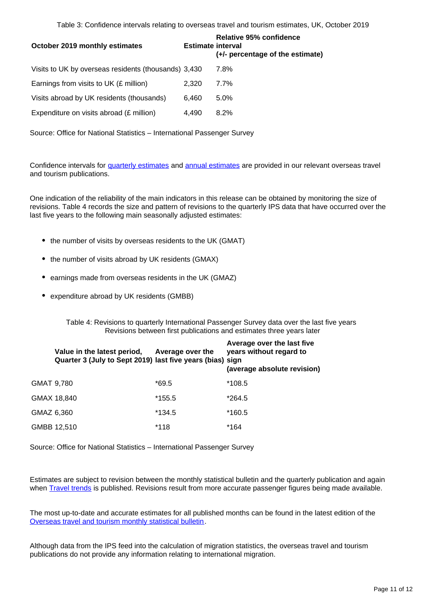Table 3: Confidence intervals relating to overseas travel and tourism estimates, UK, October 2019

| October 2019 monthly estimates                       | <b>Estimate interval</b> | <b>Relative 95% confidence</b><br>(+/- percentage of the estimate) |
|------------------------------------------------------|--------------------------|--------------------------------------------------------------------|
| Visits to UK by overseas residents (thousands) 3,430 |                          | 7.8%                                                               |
| Earnings from visits to UK (£ million)               | 2.320                    | $7.7\%$                                                            |
| Visits abroad by UK residents (thousands)            | 6.460                    | $5.0\%$                                                            |
| Expenditure on visits abroad (£ million)             | 4.490                    | 8.2%                                                               |

Source: Office for National Statistics – International Passenger Survey

Confidence intervals for [quarterly estimates](http://www.ons.gov.uk/peoplepopulationandcommunity/leisureandtourism/articles/overseastravelandtourismprovisionalresults/previousReleases) and [annual estimates](http://www.ons.gov.uk/peoplepopulationandcommunity/leisureandtourism/articles/traveltrends/previousReleases) are provided in our relevant overseas travel and tourism publications.

One indication of the reliability of the main indicators in this release can be obtained by monitoring the size of revisions. Table 4 records the size and pattern of revisions to the quarterly IPS data that have occurred over the last five years to the following main seasonally adjusted estimates:

- the number of visits by overseas residents to the UK (GMAT)
- the number of visits abroad by UK residents (GMAX)
- earnings made from overseas residents in the UK (GMAZ)
- expenditure abroad by UK residents (GMBB)

Table 4: Revisions to quarterly International Passenger Survey data over the last five years Revisions between first publications and estimates three years later

|            | Value in the latest period,<br>Quarter 3 (July to Sept 2019) last five years (bias) sign | Average over the | Average over the last five<br>years without regard to<br>(average absolute revision) |
|------------|------------------------------------------------------------------------------------------|------------------|--------------------------------------------------------------------------------------|
| GMAT 9,780 |                                                                                          | $*69.5$          | *108.5                                                                               |
|            | GMAX 18,840                                                                              | *155.5           | *264.5                                                                               |
| GMAZ 6,360 |                                                                                          | $*134.5$         | *160.5                                                                               |
|            | GMBB 12,510                                                                              | *118             | *164                                                                                 |

Source: Office for National Statistics – International Passenger Survey

Estimates are subject to revision between the monthly statistical bulletin and the quarterly publication and again when **Travel trends** is published. Revisions result from more accurate passenger figures being made available.

The most up-to-date and accurate estimates for all published months can be found in the latest edition of the [Overseas travel and tourism monthly statistical bulletin.](http://www.ons.gov.uk/peoplepopulationandcommunity/leisureandtourism/bulletins/overseastravelandtourism/previousReleases)

Although data from the IPS feed into the calculation of migration statistics, the overseas travel and tourism publications do not provide any information relating to international migration.